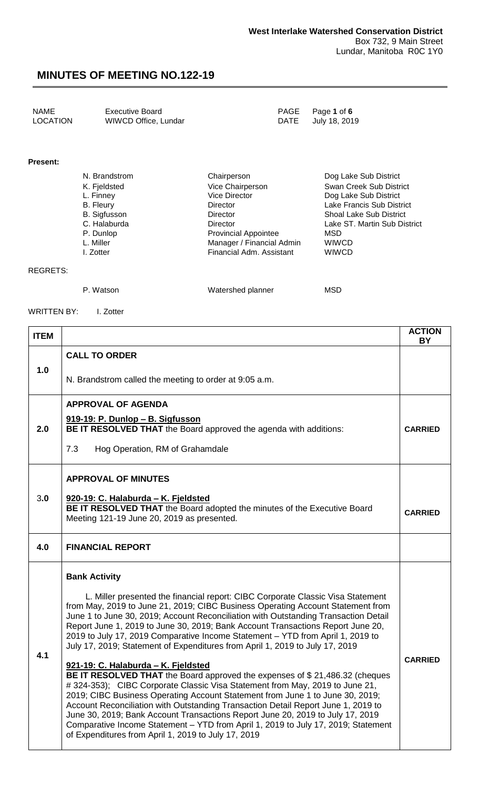| NAME     | <b>Executive Board</b> | PAGE Page 1 of 6   |
|----------|------------------------|--------------------|
| LOCATION | WIWCD Office, Lundar   | DATE July 18, 2019 |

#### **Present:**

| N. Brandstrom    | Chairperson                 | Dog Lake Sub District          |
|------------------|-----------------------------|--------------------------------|
| K. Fjeldsted     | Vice Chairperson            | Swan Creek Sub District        |
| L. Finney        | <b>Vice Director</b>        | Dog Lake Sub District          |
| <b>B.</b> Fleury | <b>Director</b>             | Lake Francis Sub District      |
| B. Sigfusson     | <b>Director</b>             | <b>Shoal Lake Sub District</b> |
| C. Halaburda     | Director                    | Lake ST. Martin Sub District   |
| P. Dunlop        | <b>Provincial Appointee</b> | MSD                            |
| L. Miller        | Manager / Financial Admin   | <b>WIWCD</b>                   |
| I. Zotter        | Financial Adm. Assistant    | <b>WIWCD</b>                   |

#### REGRETS:

P. Watson MSD Watershed planner MSD

WRITTEN BY: I. Zotter

| <b>ITEM</b> |                                                                                                                                                                                                                                                                                                                                                                                                                                                                                                                                                                                                                                                                                                                                                                                                                                                                                                                                                                                                                                                                                                                                                  | <b>ACTION</b><br>BY |
|-------------|--------------------------------------------------------------------------------------------------------------------------------------------------------------------------------------------------------------------------------------------------------------------------------------------------------------------------------------------------------------------------------------------------------------------------------------------------------------------------------------------------------------------------------------------------------------------------------------------------------------------------------------------------------------------------------------------------------------------------------------------------------------------------------------------------------------------------------------------------------------------------------------------------------------------------------------------------------------------------------------------------------------------------------------------------------------------------------------------------------------------------------------------------|---------------------|
|             | <b>CALL TO ORDER</b>                                                                                                                                                                                                                                                                                                                                                                                                                                                                                                                                                                                                                                                                                                                                                                                                                                                                                                                                                                                                                                                                                                                             |                     |
| 1.0         | N. Brandstrom called the meeting to order at 9:05 a.m.                                                                                                                                                                                                                                                                                                                                                                                                                                                                                                                                                                                                                                                                                                                                                                                                                                                                                                                                                                                                                                                                                           |                     |
|             | <b>APPROVAL OF AGENDA</b>                                                                                                                                                                                                                                                                                                                                                                                                                                                                                                                                                                                                                                                                                                                                                                                                                                                                                                                                                                                                                                                                                                                        |                     |
| 2.0         | 919-19: P. Dunlop - B. Sigfusson<br>BE IT RESOLVED THAT the Board approved the agenda with additions:                                                                                                                                                                                                                                                                                                                                                                                                                                                                                                                                                                                                                                                                                                                                                                                                                                                                                                                                                                                                                                            | <b>CARRIED</b>      |
|             | 7.3<br>Hog Operation, RM of Grahamdale                                                                                                                                                                                                                                                                                                                                                                                                                                                                                                                                                                                                                                                                                                                                                                                                                                                                                                                                                                                                                                                                                                           |                     |
|             | <b>APPROVAL OF MINUTES</b>                                                                                                                                                                                                                                                                                                                                                                                                                                                                                                                                                                                                                                                                                                                                                                                                                                                                                                                                                                                                                                                                                                                       |                     |
| 3.0         | 920-19: C. Halaburda - K. Fjeldsted<br>BE IT RESOLVED THAT the Board adopted the minutes of the Executive Board<br>Meeting 121-19 June 20, 2019 as presented.                                                                                                                                                                                                                                                                                                                                                                                                                                                                                                                                                                                                                                                                                                                                                                                                                                                                                                                                                                                    | <b>CARRIED</b>      |
| 4.0         | <b>FINANCIAL REPORT</b>                                                                                                                                                                                                                                                                                                                                                                                                                                                                                                                                                                                                                                                                                                                                                                                                                                                                                                                                                                                                                                                                                                                          |                     |
| 4.1         | <b>Bank Activity</b><br>L. Miller presented the financial report: CIBC Corporate Classic Visa Statement<br>from May, 2019 to June 21, 2019; CIBC Business Operating Account Statement from<br>June 1 to June 30, 2019; Account Reconciliation with Outstanding Transaction Detail<br>Report June 1, 2019 to June 30, 2019; Bank Account Transactions Report June 20,<br>2019 to July 17, 2019 Comparative Income Statement - YTD from April 1, 2019 to<br>July 17, 2019; Statement of Expenditures from April 1, 2019 to July 17, 2019<br>921-19: C. Halaburda - K. Fjeldsted<br>BE IT RESOLVED THAT the Board approved the expenses of \$21,486.32 (cheques<br># 324-353); CIBC Corporate Classic Visa Statement from May, 2019 to June 21,<br>2019; CIBC Business Operating Account Statement from June 1 to June 30, 2019;<br>Account Reconciliation with Outstanding Transaction Detail Report June 1, 2019 to<br>June 30, 2019; Bank Account Transactions Report June 20, 2019 to July 17, 2019<br>Comparative Income Statement - YTD from April 1, 2019 to July 17, 2019; Statement<br>of Expenditures from April 1, 2019 to July 17, 2019 | <b>CARRIED</b>      |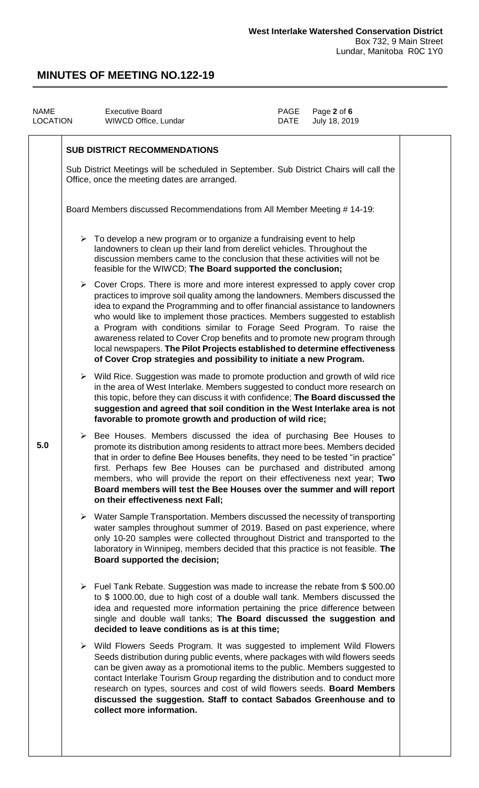| <b>NAME</b><br>LOCATION                                                                                                                                                                                                                                                                                        |                                                                          | <b>Executive Board</b><br>WIWCD Office, Lundar                                                                                                                                                                                                                                                                                                                                                                                                                                                                                                                                                                                                               | <b>PAGE</b><br><b>DATE</b> | Page 2 of 6<br>July 18, 2019 |  |
|----------------------------------------------------------------------------------------------------------------------------------------------------------------------------------------------------------------------------------------------------------------------------------------------------------------|--------------------------------------------------------------------------|--------------------------------------------------------------------------------------------------------------------------------------------------------------------------------------------------------------------------------------------------------------------------------------------------------------------------------------------------------------------------------------------------------------------------------------------------------------------------------------------------------------------------------------------------------------------------------------------------------------------------------------------------------------|----------------------------|------------------------------|--|
|                                                                                                                                                                                                                                                                                                                |                                                                          | <b>SUB DISTRICT RECOMMENDATIONS</b>                                                                                                                                                                                                                                                                                                                                                                                                                                                                                                                                                                                                                          |                            |                              |  |
|                                                                                                                                                                                                                                                                                                                |                                                                          | Sub District Meetings will be scheduled in September. Sub District Chairs will call the<br>Office, once the meeting dates are arranged.                                                                                                                                                                                                                                                                                                                                                                                                                                                                                                                      |                            |                              |  |
|                                                                                                                                                                                                                                                                                                                | Board Members discussed Recommendations from All Member Meeting # 14-19: |                                                                                                                                                                                                                                                                                                                                                                                                                                                                                                                                                                                                                                                              |                            |                              |  |
| $\triangleright$ To develop a new program or to organize a fundraising event to help<br>landowners to clean up their land from derelict vehicles. Throughout the<br>discussion members came to the conclusion that these activities will not be<br>feasible for the WIWCD; The Board supported the conclusion; |                                                                          |                                                                                                                                                                                                                                                                                                                                                                                                                                                                                                                                                                                                                                                              |                            |                              |  |
|                                                                                                                                                                                                                                                                                                                |                                                                          | $\triangleright$ Cover Crops. There is more and more interest expressed to apply cover crop<br>practices to improve soil quality among the landowners. Members discussed the<br>idea to expand the Programming and to offer financial assistance to landowners<br>who would like to implement those practices. Members suggested to establish<br>a Program with conditions similar to Forage Seed Program. To raise the<br>awareness related to Cover Crop benefits and to promote new program through<br>local newspapers. The Pilot Projects established to determine effectiveness<br>of Cover Crop strategies and possibility to initiate a new Program. |                            |                              |  |
|                                                                                                                                                                                                                                                                                                                |                                                                          | $\triangleright$ Wild Rice. Suggestion was made to promote production and growth of wild rice<br>in the area of West Interlake. Members suggested to conduct more research on<br>this topic, before they can discuss it with confidence; The Board discussed the<br>suggestion and agreed that soil condition in the West Interlake area is not<br>favorable to promote growth and production of wild rice;                                                                                                                                                                                                                                                  |                            |                              |  |
| 5.0                                                                                                                                                                                                                                                                                                            | ➤                                                                        | Bee Houses. Members discussed the idea of purchasing Bee Houses to<br>promote its distribution among residents to attract more bees. Members decided<br>that in order to define Bee Houses benefits, they need to be tested "in practice"<br>first. Perhaps few Bee Houses can be purchased and distributed among<br>members, who will provide the report on their effectiveness next year; Two<br>Board members will test the Bee Houses over the summer and will report<br>on their effectiveness next Fall;                                                                                                                                               |                            |                              |  |
|                                                                                                                                                                                                                                                                                                                |                                                                          | $\triangleright$ Water Sample Transportation. Members discussed the necessity of transporting<br>water samples throughout summer of 2019. Based on past experience, where<br>only 10-20 samples were collected throughout District and transported to the<br>laboratory in Winnipeg, members decided that this practice is not feasible. The<br>Board supported the decision;                                                                                                                                                                                                                                                                                |                            |                              |  |
|                                                                                                                                                                                                                                                                                                                |                                                                          | ▶ Fuel Tank Rebate. Suggestion was made to increase the rebate from \$500.00<br>to \$1000.00, due to high cost of a double wall tank. Members discussed the<br>idea and requested more information pertaining the price difference between<br>single and double wall tanks; The Board discussed the suggestion and<br>decided to leave conditions as is at this time;                                                                                                                                                                                                                                                                                        |                            |                              |  |
|                                                                                                                                                                                                                                                                                                                |                                                                          | > Wild Flowers Seeds Program. It was suggested to implement Wild Flowers<br>Seeds distribution during public events, where packages with wild flowers seeds<br>can be given away as a promotional items to the public. Members suggested to<br>contact Interlake Tourism Group regarding the distribution and to conduct more<br>research on types, sources and cost of wild flowers seeds. Board Members<br>discussed the suggestion. Staff to contact Sabados Greenhouse and to<br>collect more information.                                                                                                                                               |                            |                              |  |
|                                                                                                                                                                                                                                                                                                                |                                                                          |                                                                                                                                                                                                                                                                                                                                                                                                                                                                                                                                                                                                                                                              |                            |                              |  |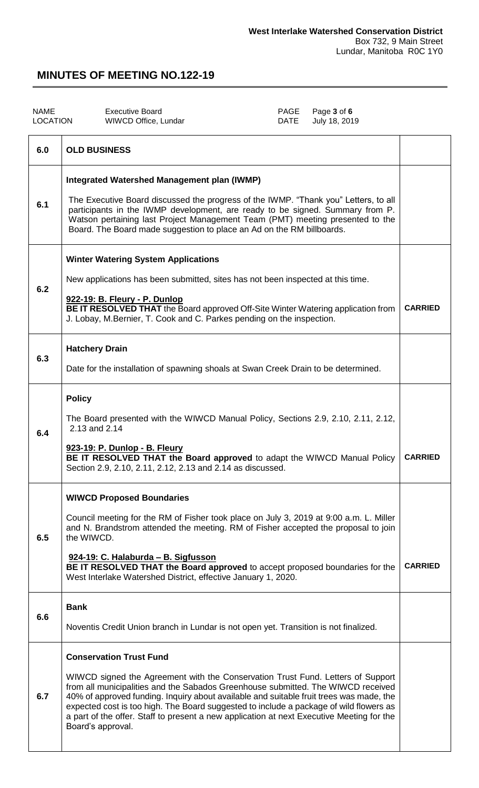| <b>NAME</b><br><b>LOCATION</b> | <b>Executive Board</b><br>WIWCD Office, Lundar                                                                                                                                                                                                                                                                                                                                                                                                                                                               | PAGE<br><b>DATE</b> | Page 3 of 6<br>July 18, 2019 |                |
|--------------------------------|--------------------------------------------------------------------------------------------------------------------------------------------------------------------------------------------------------------------------------------------------------------------------------------------------------------------------------------------------------------------------------------------------------------------------------------------------------------------------------------------------------------|---------------------|------------------------------|----------------|
| 6.0                            | <b>OLD BUSINESS</b>                                                                                                                                                                                                                                                                                                                                                                                                                                                                                          |                     |                              |                |
| 6.1                            | <b>Integrated Watershed Management plan (IWMP)</b><br>The Executive Board discussed the progress of the IWMP. "Thank you" Letters, to all<br>participants in the IWMP development, are ready to be signed. Summary from P.<br>Watson pertaining last Project Management Team (PMT) meeting presented to the<br>Board. The Board made suggestion to place an Ad on the RM billboards.                                                                                                                         |                     |                              |                |
| 6.2                            | <b>Winter Watering System Applications</b><br>New applications has been submitted, sites has not been inspected at this time.<br>922-19: B. Fleury - P. Dunlop<br>BE IT RESOLVED THAT the Board approved Off-Site Winter Watering application from<br>J. Lobay, M.Bernier, T. Cook and C. Parkes pending on the inspection.                                                                                                                                                                                  |                     |                              | <b>CARRIED</b> |
| 6.3                            | <b>Hatchery Drain</b><br>Date for the installation of spawning shoals at Swan Creek Drain to be determined.                                                                                                                                                                                                                                                                                                                                                                                                  |                     |                              |                |
| 6.4                            | <b>Policy</b><br>The Board presented with the WIWCD Manual Policy, Sections 2.9, 2.10, 2.11, 2.12,<br>2.13 and 2.14<br>923-19: P. Dunlop - B. Fleury<br>BE IT RESOLVED THAT the Board approved to adapt the WIWCD Manual Policy<br>Section 2.9, 2.10, 2.11, 2.12, 2.13 and 2.14 as discussed.                                                                                                                                                                                                                |                     |                              | <b>CARRIED</b> |
| 6.5                            | <b>WIWCD Proposed Boundaries</b><br>Council meeting for the RM of Fisher took place on July 3, 2019 at 9:00 a.m. L. Miller<br>and N. Brandstrom attended the meeting. RM of Fisher accepted the proposal to join<br>the WIWCD.<br>924-19: C. Halaburda - B. Sigfusson<br>BE IT RESOLVED THAT the Board approved to accept proposed boundaries for the<br>West Interlake Watershed District, effective January 1, 2020.                                                                                       |                     |                              | <b>CARRIED</b> |
| 6.6                            | <b>Bank</b><br>Noventis Credit Union branch in Lundar is not open yet. Transition is not finalized.                                                                                                                                                                                                                                                                                                                                                                                                          |                     |                              |                |
| 6.7                            | <b>Conservation Trust Fund</b><br>WIWCD signed the Agreement with the Conservation Trust Fund. Letters of Support<br>from all municipalities and the Sabados Greenhouse submitted. The WIWCD received<br>40% of approved funding. Inquiry about available and suitable fruit trees was made, the<br>expected cost is too high. The Board suggested to include a package of wild flowers as<br>a part of the offer. Staff to present a new application at next Executive Meeting for the<br>Board's approval. |                     |                              |                |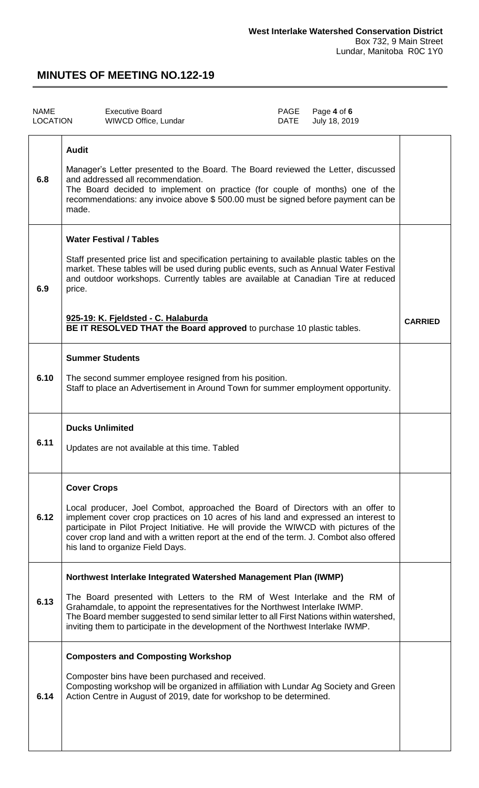| <b>NAME</b><br><b>LOCATION</b> | <b>Executive Board</b><br>WIWCD Office, Lundar                                                                                                                                                                                                                                                                                                                                                                                       | PAGE<br><b>DATE</b> | Page 4 of 6<br>July 18, 2019 |                |
|--------------------------------|--------------------------------------------------------------------------------------------------------------------------------------------------------------------------------------------------------------------------------------------------------------------------------------------------------------------------------------------------------------------------------------------------------------------------------------|---------------------|------------------------------|----------------|
| 6.8                            | <b>Audit</b><br>Manager's Letter presented to the Board. The Board reviewed the Letter, discussed<br>and addressed all recommendation.<br>The Board decided to implement on practice (for couple of months) one of the<br>recommendations: any invoice above \$500.00 must be signed before payment can be<br>made.                                                                                                                  |                     |                              |                |
| 6.9                            | <b>Water Festival / Tables</b><br>Staff presented price list and specification pertaining to available plastic tables on the<br>market. These tables will be used during public events, such as Annual Water Festival<br>and outdoor workshops. Currently tables are available at Canadian Tire at reduced<br>price.<br>925-19: K. Fjeldsted - C. Halaburda<br>BE IT RESOLVED THAT the Board approved to purchase 10 plastic tables. |                     |                              | <b>CARRIED</b> |
| 6.10                           | <b>Summer Students</b><br>The second summer employee resigned from his position.<br>Staff to place an Advertisement in Around Town for summer employment opportunity.                                                                                                                                                                                                                                                                |                     |                              |                |
| 6.11                           | <b>Ducks Unlimited</b><br>Updates are not available at this time. Tabled                                                                                                                                                                                                                                                                                                                                                             |                     |                              |                |
| 6.12                           | <b>Cover Crops</b><br>Local producer, Joel Combot, approached the Board of Directors with an offer to<br>implement cover crop practices on 10 acres of his land and expressed an interest to<br>participate in Pilot Project Initiative. He will provide the WIWCD with pictures of the<br>cover crop land and with a written report at the end of the term. J. Combot also offered<br>his land to organize Field Days.              |                     |                              |                |
| 6.13                           | Northwest Interlake Integrated Watershed Management Plan (IWMP)<br>The Board presented with Letters to the RM of West Interlake and the RM of<br>Grahamdale, to appoint the representatives for the Northwest Interlake IWMP.<br>The Board member suggested to send similar letter to all First Nations within watershed,<br>inviting them to participate in the development of the Northwest Interlake IWMP.                        |                     |                              |                |
| 6.14                           | <b>Composters and Composting Workshop</b><br>Composter bins have been purchased and received.<br>Composting workshop will be organized in affiliation with Lundar Ag Society and Green<br>Action Centre in August of 2019, date for workshop to be determined.                                                                                                                                                                       |                     |                              |                |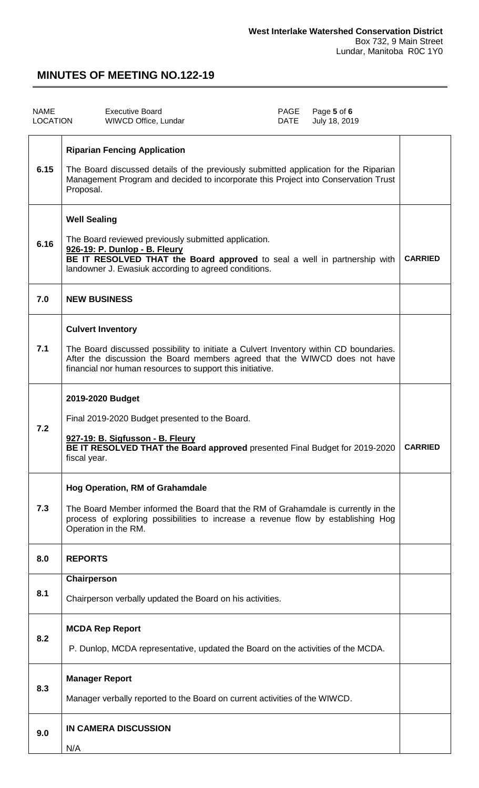| <b>NAME</b><br><b>LOCATION</b> | <b>Executive Board</b><br>PAGE<br>Page 5 of 6<br>WIWCD Office, Lundar<br>July 18, 2019<br>DATE                                                                                                                                                               |                |
|--------------------------------|--------------------------------------------------------------------------------------------------------------------------------------------------------------------------------------------------------------------------------------------------------------|----------------|
| 6.15                           | <b>Riparian Fencing Application</b><br>The Board discussed details of the previously submitted application for the Riparian<br>Management Program and decided to incorporate this Project into Conservation Trust<br>Proposal.                               |                |
| 6.16                           | <b>Well Sealing</b><br>The Board reviewed previously submitted application.<br>926-19: P. Dunlop - B. Fleury<br>BE IT RESOLVED THAT the Board approved to seal a well in partnership with<br>landowner J. Ewasiuk according to agreed conditions.            | <b>CARRIED</b> |
| 7.0                            | <b>NEW BUSINESS</b>                                                                                                                                                                                                                                          |                |
| 7.1                            | <b>Culvert Inventory</b><br>The Board discussed possibility to initiate a Culvert Inventory within CD boundaries.<br>After the discussion the Board members agreed that the WIWCD does not have<br>financial nor human resources to support this initiative. |                |
| 7.2                            | 2019-2020 Budget<br>Final 2019-2020 Budget presented to the Board.<br>927-19: B. Sigfusson - B. Fleury<br>BE IT RESOLVED THAT the Board approved presented Final Budget for 2019-2020<br>fiscal year.                                                        | <b>CARRIED</b> |
| 7.3                            | <b>Hog Operation, RM of Grahamdale</b><br>The Board Member informed the Board that the RM of Grahamdale is currently in the<br>process of exploring possibilities to increase a revenue flow by establishing Hog<br>Operation in the RM.                     |                |
| 8.0                            | <b>REPORTS</b>                                                                                                                                                                                                                                               |                |
| 8.1                            | Chairperson<br>Chairperson verbally updated the Board on his activities.                                                                                                                                                                                     |                |
| 8.2                            | <b>MCDA Rep Report</b><br>P. Dunlop, MCDA representative, updated the Board on the activities of the MCDA.                                                                                                                                                   |                |
| 8.3                            | <b>Manager Report</b><br>Manager verbally reported to the Board on current activities of the WIWCD.                                                                                                                                                          |                |
| 9.0                            | <b>IN CAMERA DISCUSSION</b><br>N/A                                                                                                                                                                                                                           |                |